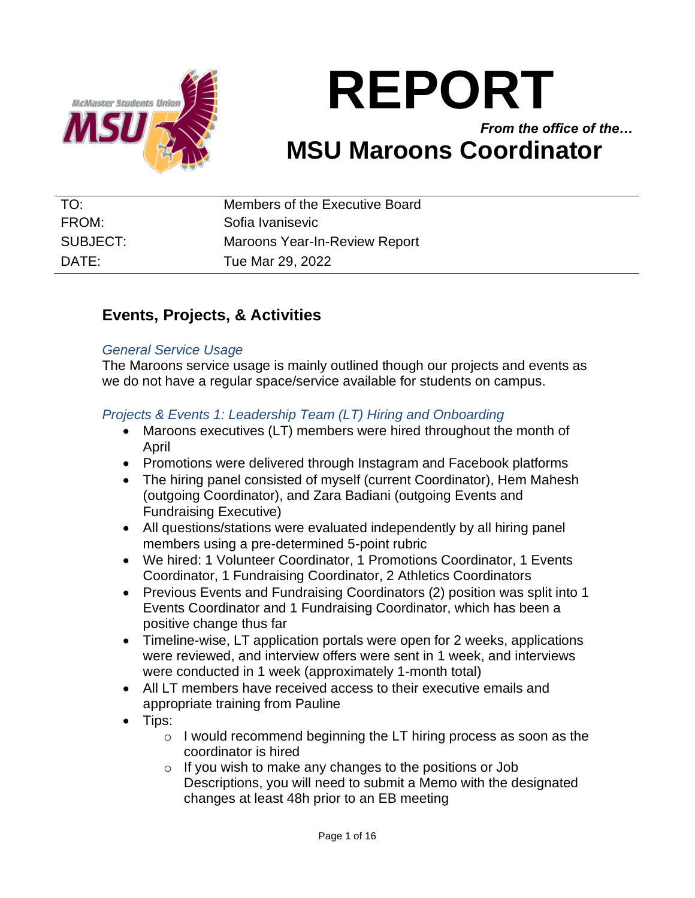

# **REPORT**

# *From the office of the…* **MSU Maroons Coordinator**

| TO:      | Members of the Executive Board       |
|----------|--------------------------------------|
| FROM:    | Sofia Ivanisevic                     |
| SUBJECT: | <b>Maroons Year-In-Review Report</b> |
| DATF:    | Tue Mar 29, 2022                     |

# **Events, Projects, & Activities**

#### *General Service Usage*

The Maroons service usage is mainly outlined though our projects and events as we do not have a regular space/service available for students on campus.

# *Projects & Events 1: Leadership Team (LT) Hiring and Onboarding*

- Maroons executives (LT) members were hired throughout the month of April
- Promotions were delivered through Instagram and Facebook platforms
- The hiring panel consisted of myself (current Coordinator), Hem Mahesh (outgoing Coordinator), and Zara Badiani (outgoing Events and Fundraising Executive)
- All questions/stations were evaluated independently by all hiring panel members using a pre-determined 5-point rubric
- We hired: 1 Volunteer Coordinator, 1 Promotions Coordinator, 1 Events Coordinator, 1 Fundraising Coordinator, 2 Athletics Coordinators
- Previous Events and Fundraising Coordinators (2) position was split into 1 Events Coordinator and 1 Fundraising Coordinator, which has been a positive change thus far
- Timeline-wise, LT application portals were open for 2 weeks, applications were reviewed, and interview offers were sent in 1 week, and interviews were conducted in 1 week (approximately 1-month total)
- All LT members have received access to their executive emails and appropriate training from Pauline
- Tips:
	- o I would recommend beginning the LT hiring process as soon as the coordinator is hired
	- o If you wish to make any changes to the positions or Job Descriptions, you will need to submit a Memo with the designated changes at least 48h prior to an EB meeting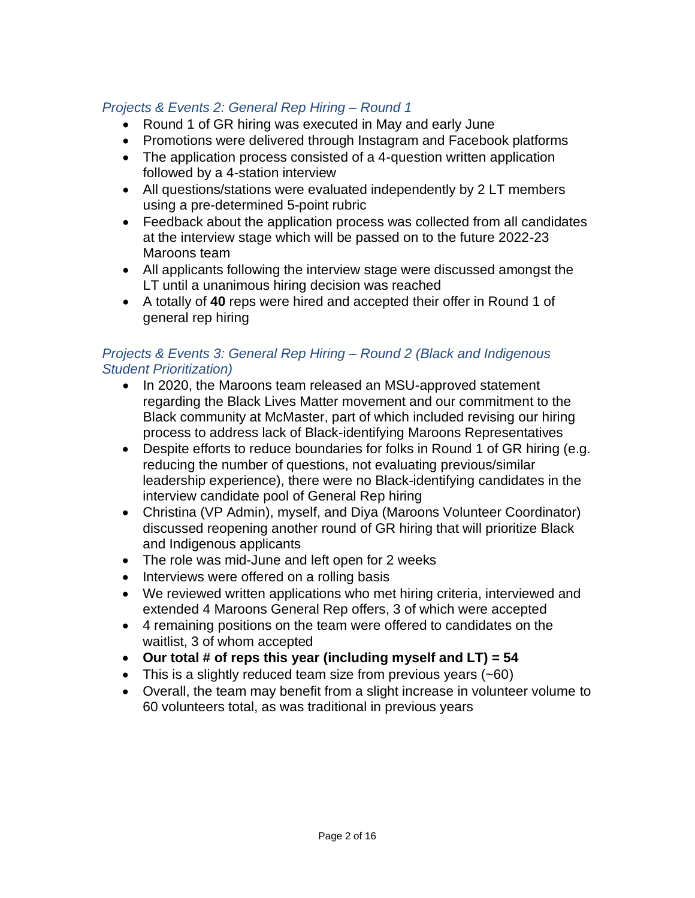# *Projects & Events 2: General Rep Hiring – Round 1*

- Round 1 of GR hiring was executed in May and early June
- Promotions were delivered through Instagram and Facebook platforms
- The application process consisted of a 4-question written application followed by a 4-station interview
- All questions/stations were evaluated independently by 2 LT members using a pre-determined 5-point rubric
- Feedback about the application process was collected from all candidates at the interview stage which will be passed on to the future 2022-23 Maroons team
- All applicants following the interview stage were discussed amongst the LT until a unanimous hiring decision was reached
- A totally of **40** reps were hired and accepted their offer in Round 1 of general rep hiring

#### *Projects & Events 3: General Rep Hiring – Round 2 (Black and Indigenous Student Prioritization)*

- In 2020, the Maroons team released an MSU-approved statement regarding the Black Lives Matter movement and our commitment to the Black community at McMaster, part of which included revising our hiring process to address lack of Black-identifying Maroons Representatives
- Despite efforts to reduce boundaries for folks in Round 1 of GR hiring (e.g. reducing the number of questions, not evaluating previous/similar leadership experience), there were no Black-identifying candidates in the interview candidate pool of General Rep hiring
- Christina (VP Admin), myself, and Diya (Maroons Volunteer Coordinator) discussed reopening another round of GR hiring that will prioritize Black and Indigenous applicants
- The role was mid-June and left open for 2 weeks
- Interviews were offered on a rolling basis
- We reviewed written applications who met hiring criteria, interviewed and extended 4 Maroons General Rep offers, 3 of which were accepted
- 4 remaining positions on the team were offered to candidates on the waitlist, 3 of whom accepted
- **Our total # of reps this year (including myself and LT) = 54**
- This is a slightly reduced team size from previous years (~60)
- Overall, the team may benefit from a slight increase in volunteer volume to 60 volunteers total, as was traditional in previous years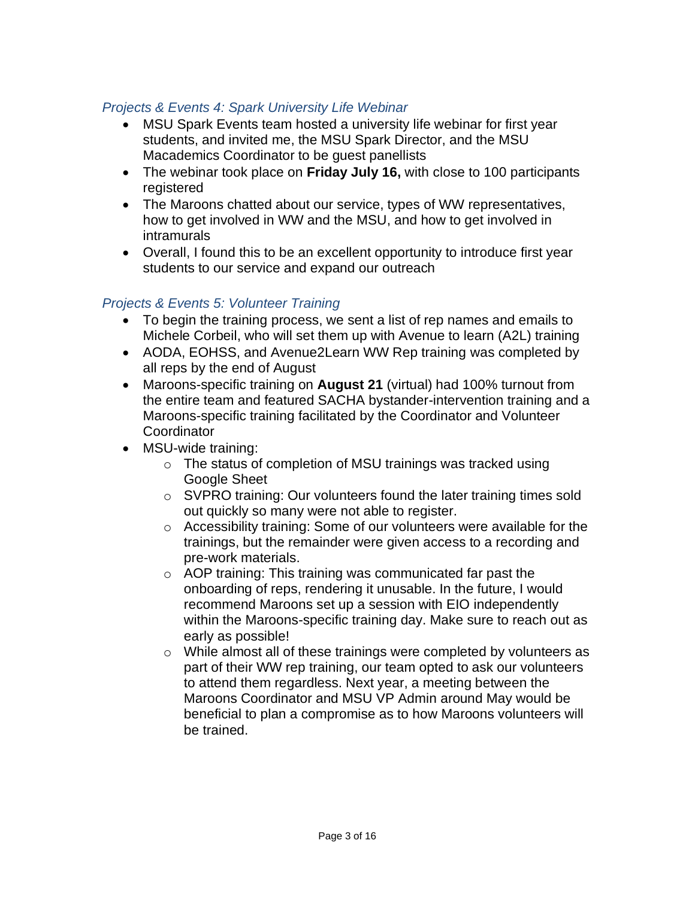# *Projects & Events 4: Spark University Life Webinar*

- MSU Spark Events team hosted a university life webinar for first year students, and invited me, the MSU Spark Director, and the MSU Macademics Coordinator to be guest panellists
- The webinar took place on **Friday July 16,** with close to 100 participants registered
- The Maroons chatted about our service, types of WW representatives, how to get involved in WW and the MSU, and how to get involved in intramurals
- Overall, I found this to be an excellent opportunity to introduce first year students to our service and expand our outreach

# *Projects & Events 5: Volunteer Training*

- To begin the training process, we sent a list of rep names and emails to Michele Corbeil, who will set them up with Avenue to learn (A2L) training
- AODA, EOHSS, and Avenue2Learn WW Rep training was completed by all reps by the end of August
- Maroons-specific training on **August 21** (virtual) had 100% turnout from the entire team and featured SACHA bystander-intervention training and a Maroons-specific training facilitated by the Coordinator and Volunteer **Coordinator**
- MSU-wide training:
	- o The status of completion of MSU trainings was tracked using Google Sheet
	- o SVPRO training: Our volunteers found the later training times sold out quickly so many were not able to register.
	- o Accessibility training: Some of our volunteers were available for the trainings, but the remainder were given access to a recording and pre-work materials.
	- o AOP training: This training was communicated far past the onboarding of reps, rendering it unusable. In the future, I would recommend Maroons set up a session with EIO independently within the Maroons-specific training day. Make sure to reach out as early as possible!
	- o While almost all of these trainings were completed by volunteers as part of their WW rep training, our team opted to ask our volunteers to attend them regardless. Next year, a meeting between the Maroons Coordinator and MSU VP Admin around May would be beneficial to plan a compromise as to how Maroons volunteers will be trained.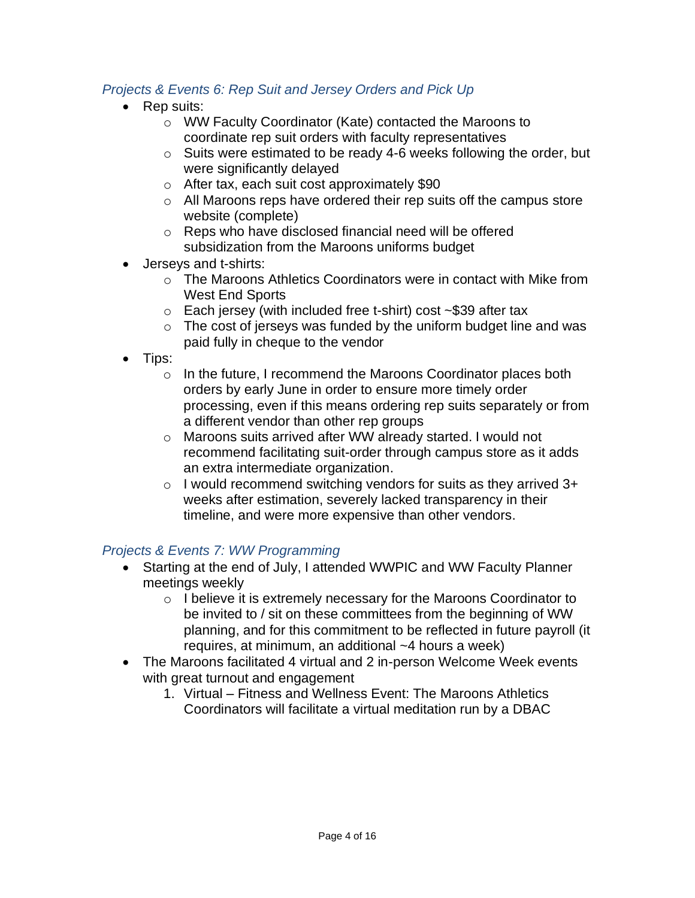# *Projects & Events 6: Rep Suit and Jersey Orders and Pick Up*

- Rep suits:
	- o WW Faculty Coordinator (Kate) contacted the Maroons to coordinate rep suit orders with faculty representatives
	- o Suits were estimated to be ready 4-6 weeks following the order, but were significantly delayed
	- o After tax, each suit cost approximately \$90
	- o All Maroons reps have ordered their rep suits off the campus store website (complete)
	- o Reps who have disclosed financial need will be offered subsidization from the Maroons uniforms budget
- Jerseys and t-shirts:
	- $\circ$  The Maroons Athletics Coordinators were in contact with Mike from West End Sports
	- o Each jersey (with included free t-shirt) cost ~\$39 after tax
	- $\circ$  The cost of jerseys was funded by the uniform budget line and was paid fully in cheque to the vendor
- Tips:
	- o In the future, I recommend the Maroons Coordinator places both orders by early June in order to ensure more timely order processing, even if this means ordering rep suits separately or from a different vendor than other rep groups
	- o Maroons suits arrived after WW already started. I would not recommend facilitating suit-order through campus store as it adds an extra intermediate organization.
	- o I would recommend switching vendors for suits as they arrived 3+ weeks after estimation, severely lacked transparency in their timeline, and were more expensive than other vendors.

## *Projects & Events 7: WW Programming*

- Starting at the end of July, I attended WWPIC and WW Faculty Planner meetings weekly
	- o I believe it is extremely necessary for the Maroons Coordinator to be invited to / sit on these committees from the beginning of WW planning, and for this commitment to be reflected in future payroll (it requires, at minimum, an additional ~4 hours a week)
- The Maroons facilitated 4 virtual and 2 in-person Welcome Week events with great turnout and engagement
	- 1. Virtual Fitness and Wellness Event: The Maroons Athletics Coordinators will facilitate a virtual meditation run by a DBAC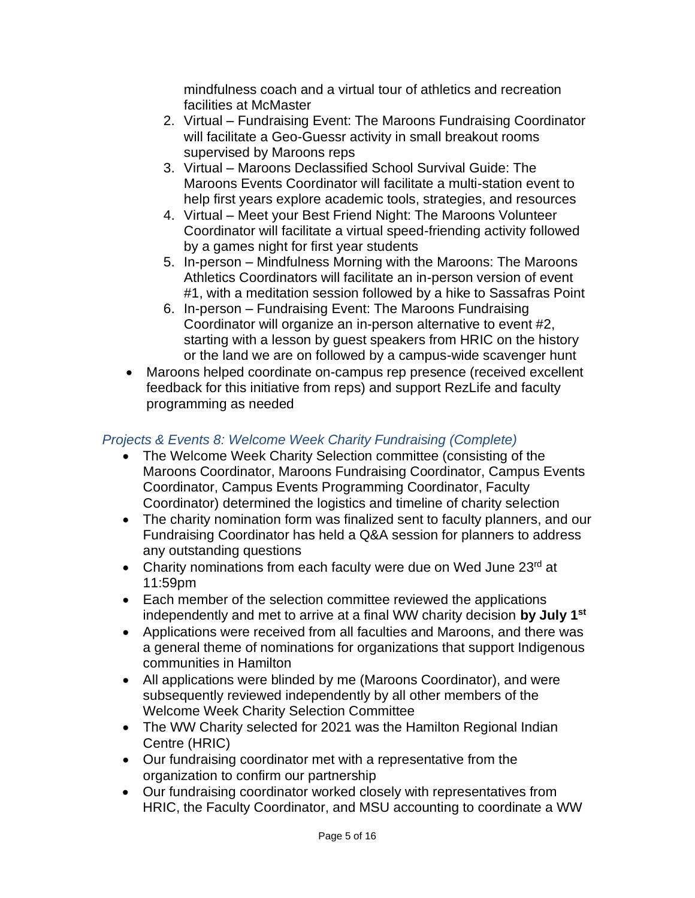mindfulness coach and a virtual tour of athletics and recreation facilities at McMaster

- 2. Virtual Fundraising Event: The Maroons Fundraising Coordinator will facilitate a Geo-Guessr activity in small breakout rooms supervised by Maroons reps
- 3. Virtual Maroons Declassified School Survival Guide: The Maroons Events Coordinator will facilitate a multi-station event to help first years explore academic tools, strategies, and resources
- 4. Virtual Meet your Best Friend Night: The Maroons Volunteer Coordinator will facilitate a virtual speed-friending activity followed by a games night for first year students
- 5. In-person Mindfulness Morning with the Maroons: The Maroons Athletics Coordinators will facilitate an in-person version of event #1, with a meditation session followed by a hike to Sassafras Point
- 6. In-person Fundraising Event: The Maroons Fundraising Coordinator will organize an in-person alternative to event #2, starting with a lesson by guest speakers from HRIC on the history or the land we are on followed by a campus-wide scavenger hunt
- Maroons helped coordinate on-campus rep presence (received excellent feedback for this initiative from reps) and support RezLife and faculty programming as needed

# *Projects & Events 8: Welcome Week Charity Fundraising (Complete)*

- The Welcome Week Charity Selection committee (consisting of the Maroons Coordinator, Maroons Fundraising Coordinator, Campus Events Coordinator, Campus Events Programming Coordinator, Faculty Coordinator) determined the logistics and timeline of charity selection
- The charity nomination form was finalized sent to faculty planners, and our Fundraising Coordinator has held a Q&A session for planners to address any outstanding questions
- Charity nominations from each faculty were due on Wed June  $23<sup>rd</sup>$  at 11:59pm
- Each member of the selection committee reviewed the applications independently and met to arrive at a final WW charity decision **by July 1st**
- Applications were received from all faculties and Maroons, and there was a general theme of nominations for organizations that support Indigenous communities in Hamilton
- All applications were blinded by me (Maroons Coordinator), and were subsequently reviewed independently by all other members of the Welcome Week Charity Selection Committee
- The WW Charity selected for 2021 was the Hamilton Regional Indian Centre (HRIC)
- Our fundraising coordinator met with a representative from the organization to confirm our partnership
- Our fundraising coordinator worked closely with representatives from HRIC, the Faculty Coordinator, and MSU accounting to coordinate a WW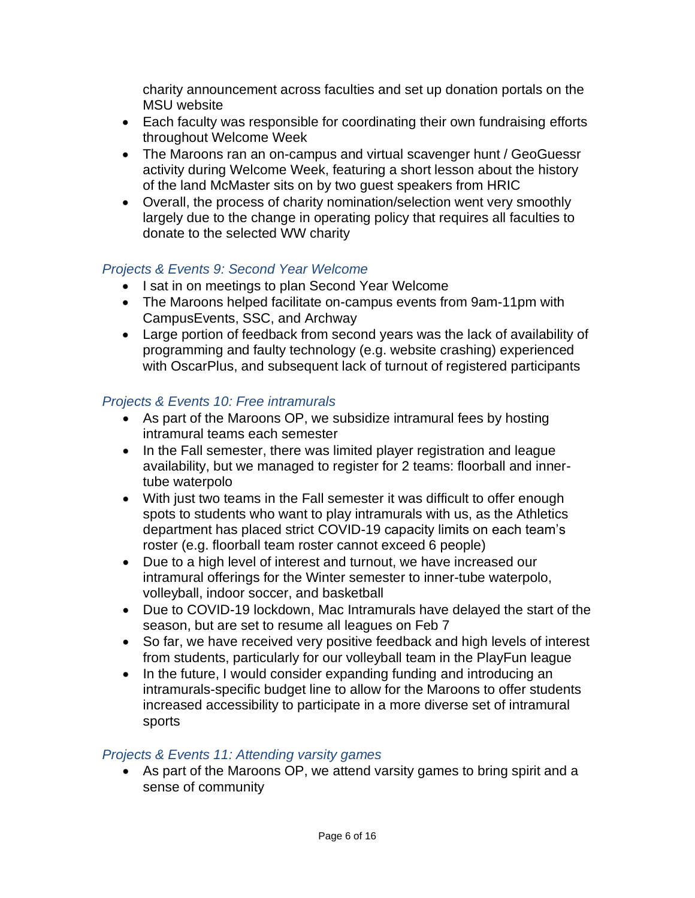charity announcement across faculties and set up donation portals on the MSU website

- Each faculty was responsible for coordinating their own fundraising efforts throughout Welcome Week
- The Maroons ran an on-campus and virtual scavenger hunt / GeoGuessr activity during Welcome Week, featuring a short lesson about the history of the land McMaster sits on by two guest speakers from HRIC
- Overall, the process of charity nomination/selection went very smoothly largely due to the change in operating policy that requires all faculties to donate to the selected WW charity

## *Projects & Events 9: Second Year Welcome*

- I sat in on meetings to plan Second Year Welcome
- The Maroons helped facilitate on-campus events from 9am-11pm with CampusEvents, SSC, and Archway
- Large portion of feedback from second years was the lack of availability of programming and faulty technology (e.g. website crashing) experienced with OscarPlus, and subsequent lack of turnout of registered participants

# *Projects & Events 10: Free intramurals*

- As part of the Maroons OP, we subsidize intramural fees by hosting intramural teams each semester
- In the Fall semester, there was limited player registration and league availability, but we managed to register for 2 teams: floorball and innertube waterpolo
- With just two teams in the Fall semester it was difficult to offer enough spots to students who want to play intramurals with us, as the Athletics department has placed strict COVID-19 capacity limits on each team's roster (e.g. floorball team roster cannot exceed 6 people)
- Due to a high level of interest and turnout, we have increased our intramural offerings for the Winter semester to inner-tube waterpolo, volleyball, indoor soccer, and basketball
- Due to COVID-19 lockdown, Mac Intramurals have delayed the start of the season, but are set to resume all leagues on Feb 7
- So far, we have received very positive feedback and high levels of interest from students, particularly for our volleyball team in the PlayFun league
- In the future, I would consider expanding funding and introducing an intramurals-specific budget line to allow for the Maroons to offer students increased accessibility to participate in a more diverse set of intramural sports

## *Projects & Events 11: Attending varsity games*

• As part of the Maroons OP, we attend varsity games to bring spirit and a sense of community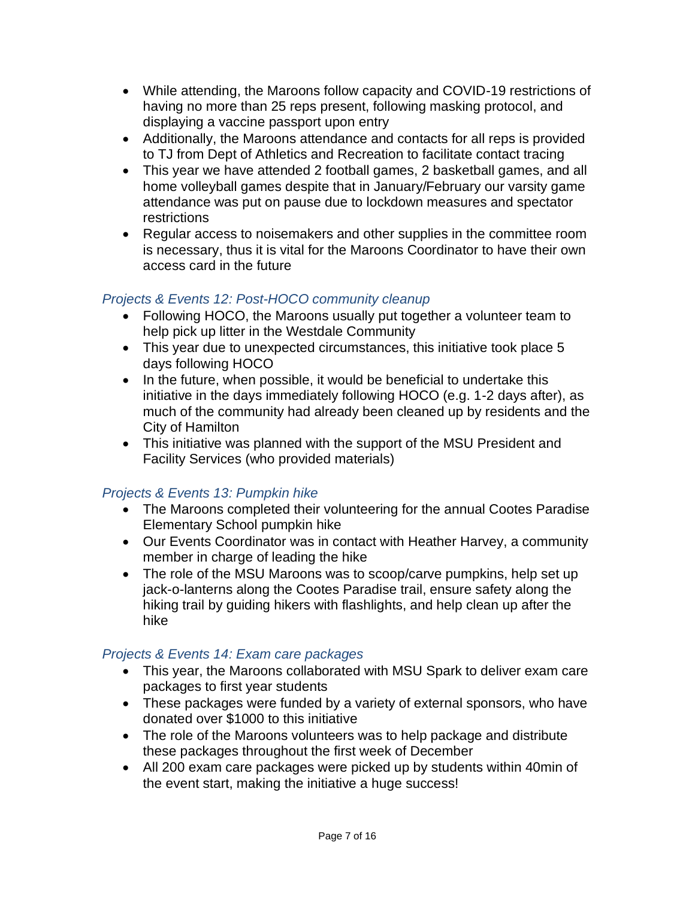- While attending, the Maroons follow capacity and COVID-19 restrictions of having no more than 25 reps present, following masking protocol, and displaying a vaccine passport upon entry
- Additionally, the Maroons attendance and contacts for all reps is provided to TJ from Dept of Athletics and Recreation to facilitate contact tracing
- This year we have attended 2 football games, 2 basketball games, and all home volleyball games despite that in January/February our varsity game attendance was put on pause due to lockdown measures and spectator restrictions
- Regular access to noisemakers and other supplies in the committee room is necessary, thus it is vital for the Maroons Coordinator to have their own access card in the future

# *Projects & Events 12: Post-HOCO community cleanup*

- Following HOCO, the Maroons usually put together a volunteer team to help pick up litter in the Westdale Community
- This year due to unexpected circumstances, this initiative took place 5 days following HOCO
- In the future, when possible, it would be beneficial to undertake this initiative in the days immediately following HOCO (e.g. 1-2 days after), as much of the community had already been cleaned up by residents and the City of Hamilton
- This initiative was planned with the support of the MSU President and Facility Services (who provided materials)

# *Projects & Events 13: Pumpkin hike*

- The Maroons completed their volunteering for the annual Cootes Paradise Elementary School pumpkin hike
- Our Events Coordinator was in contact with Heather Harvey, a community member in charge of leading the hike
- The role of the MSU Maroons was to scoop/carve pumpkins, help set up jack-o-lanterns along the Cootes Paradise trail, ensure safety along the hiking trail by guiding hikers with flashlights, and help clean up after the hike

# *Projects & Events 14: Exam care packages*

- This year, the Maroons collaborated with MSU Spark to deliver exam care packages to first year students
- These packages were funded by a variety of external sponsors, who have donated over \$1000 to this initiative
- The role of the Maroons volunteers was to help package and distribute these packages throughout the first week of December
- All 200 exam care packages were picked up by students within 40min of the event start, making the initiative a huge success!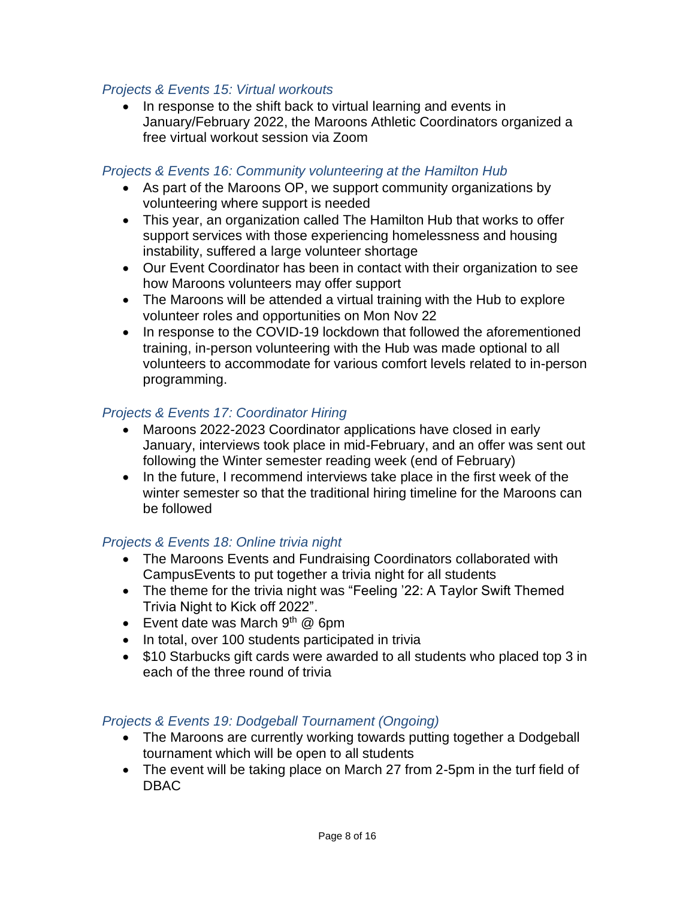#### *Projects & Events 15: Virtual workouts*

• In response to the shift back to virtual learning and events in January/February 2022, the Maroons Athletic Coordinators organized a free virtual workout session via Zoom

#### *Projects & Events 16: Community volunteering at the Hamilton Hub*

- As part of the Maroons OP, we support community organizations by volunteering where support is needed
- This year, an organization called The Hamilton Hub that works to offer support services with those experiencing homelessness and housing instability, suffered a large volunteer shortage
- Our Event Coordinator has been in contact with their organization to see how Maroons volunteers may offer support
- The Maroons will be attended a virtual training with the Hub to explore volunteer roles and opportunities on Mon Nov 22
- In response to the COVID-19 lockdown that followed the aforementioned training, in-person volunteering with the Hub was made optional to all volunteers to accommodate for various comfort levels related to in-person programming.

#### *Projects & Events 17: Coordinator Hiring*

- Maroons 2022-2023 Coordinator applications have closed in early January, interviews took place in mid-February, and an offer was sent out following the Winter semester reading week (end of February)
- In the future, I recommend interviews take place in the first week of the winter semester so that the traditional hiring timeline for the Maroons can be followed

## *Projects & Events 18: Online trivia night*

- The Maroons Events and Fundraising Coordinators collaborated with CampusEvents to put together a trivia night for all students
- The theme for the trivia night was "Feeling '22: A Taylor Swift Themed Trivia Night to Kick off 2022".
- Event date was March  $9<sup>th</sup>$  @ 6pm
- In total, over 100 students participated in trivia
- \$10 Starbucks gift cards were awarded to all students who placed top 3 in each of the three round of trivia

#### *Projects & Events 19: Dodgeball Tournament (Ongoing)*

- The Maroons are currently working towards putting together a Dodgeball tournament which will be open to all students
- The event will be taking place on March 27 from 2-5pm in the turf field of DBAC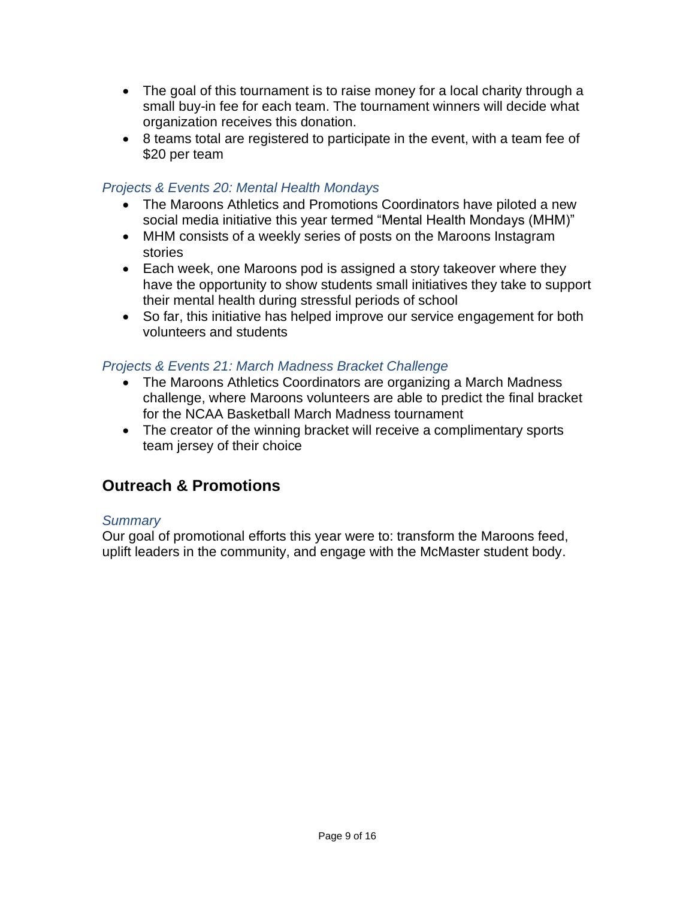- The goal of this tournament is to raise money for a local charity through a small buy-in fee for each team. The tournament winners will decide what organization receives this donation.
- 8 teams total are registered to participate in the event, with a team fee of \$20 per team

# *Projects & Events 20: Mental Health Mondays*

- The Maroons Athletics and Promotions Coordinators have piloted a new social media initiative this year termed "Mental Health Mondays (MHM)"
- MHM consists of a weekly series of posts on the Maroons Instagram stories
- Each week, one Maroons pod is assigned a story takeover where they have the opportunity to show students small initiatives they take to support their mental health during stressful periods of school
- So far, this initiative has helped improve our service engagement for both volunteers and students

# *Projects & Events 21: March Madness Bracket Challenge*

- The Maroons Athletics Coordinators are organizing a March Madness challenge, where Maroons volunteers are able to predict the final bracket for the NCAA Basketball March Madness tournament
- The creator of the winning bracket will receive a complimentary sports team jersey of their choice

# **Outreach & Promotions**

## *Summary*

Our goal of promotional efforts this year were to: transform the Maroons feed, uplift leaders in the community, and engage with the McMaster student body.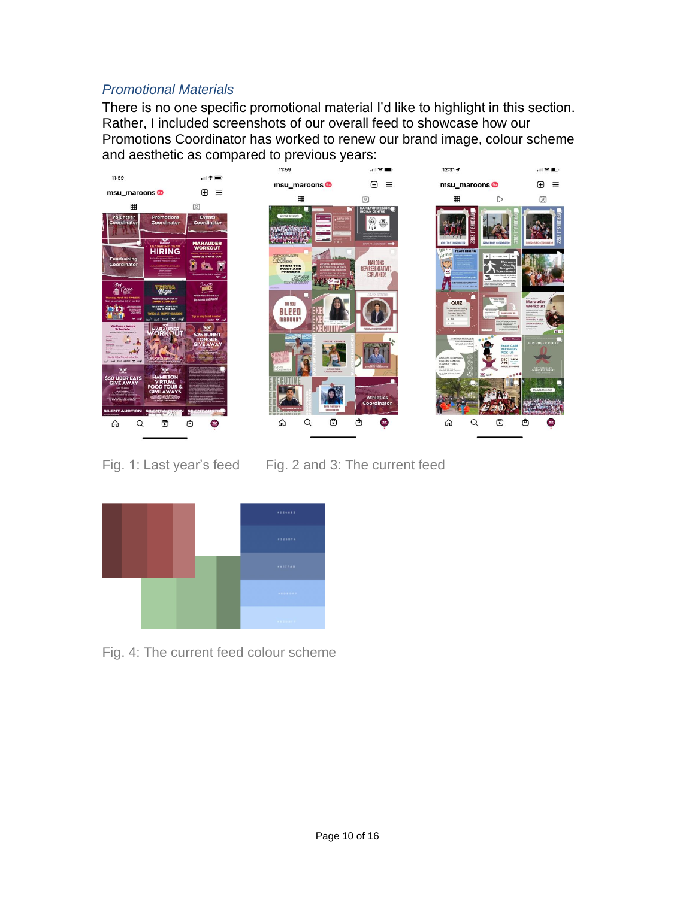# *Promotional Materials*

There is no one specific promotional material I'd like to highlight in this section. Rather, I included screenshots of our overall feed to showcase how our Promotions Coordinator has worked to renew our brand image, colour scheme and aesthetic as compared to previous years:



Fig. 1: Last year's feed Fig. 2 and 3: The current feed



Fig. 4: The current feed colour scheme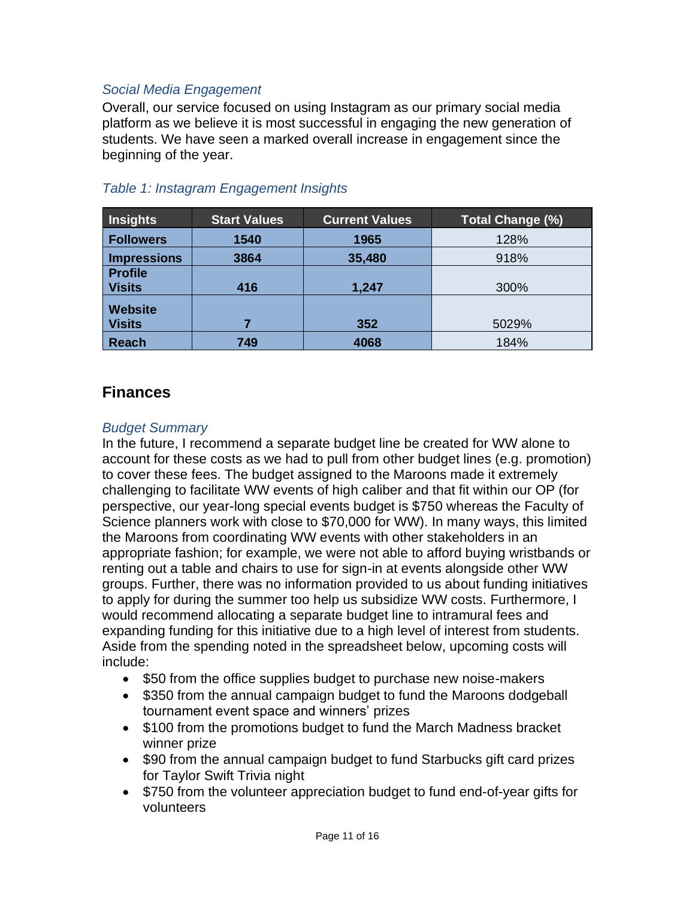# *Social Media Engagement*

Overall, our service focused on using Instagram as our primary social media platform as we believe it is most successful in engaging the new generation of students. We have seen a marked overall increase in engagement since the beginning of the year.

| <b>Insights</b>  | <b>Start Values</b> | <b>Current Values</b> | <b>Total Change (%)</b> |
|------------------|---------------------|-----------------------|-------------------------|
| <b>Followers</b> | 1540                | 1965                  | 128%                    |
| Impressions      | 3864                | 35,480                | 918%                    |
| <b>Profile</b>   |                     |                       |                         |
| <b>Visits</b>    | 416                 | 1,247                 | 300%                    |
| <b>Website</b>   |                     |                       |                         |
| <b>Visits</b>    |                     | 352                   | 5029%                   |
| Reach            | 749                 | 4068                  | 184%                    |

# *Table 1: Instagram Engagement Insights*

# **Finances**

#### *Budget Summary*

In the future, I recommend a separate budget line be created for WW alone to account for these costs as we had to pull from other budget lines (e.g. promotion) to cover these fees. The budget assigned to the Maroons made it extremely challenging to facilitate WW events of high caliber and that fit within our OP (for perspective, our year-long special events budget is \$750 whereas the Faculty of Science planners work with close to \$70,000 for WW). In many ways, this limited the Maroons from coordinating WW events with other stakeholders in an appropriate fashion; for example, we were not able to afford buying wristbands or renting out a table and chairs to use for sign-in at events alongside other WW groups. Further, there was no information provided to us about funding initiatives to apply for during the summer too help us subsidize WW costs. Furthermore, I would recommend allocating a separate budget line to intramural fees and expanding funding for this initiative due to a high level of interest from students. Aside from the spending noted in the spreadsheet below, upcoming costs will include:

- \$50 from the office supplies budget to purchase new noise-makers
- \$350 from the annual campaign budget to fund the Maroons dodgeball tournament event space and winners' prizes
- \$100 from the promotions budget to fund the March Madness bracket winner prize
- \$90 from the annual campaign budget to fund Starbucks gift card prizes for Taylor Swift Trivia night
- \$750 from the volunteer appreciation budget to fund end-of-year gifts for volunteers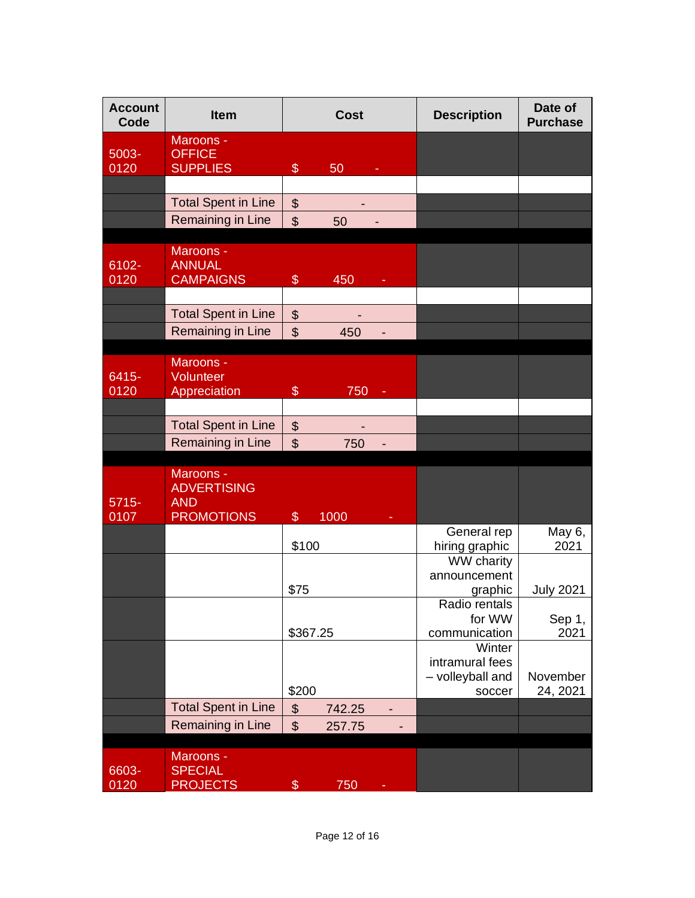| <b>Account</b><br>Code | <b>Item</b>                                                        | <b>Cost</b>                                        | <b>Description</b>                                      | Date of<br><b>Purchase</b> |
|------------------------|--------------------------------------------------------------------|----------------------------------------------------|---------------------------------------------------------|----------------------------|
| 5003-<br>0120          | Maroons -<br><b>OFFICE</b><br><b>SUPPLIES</b>                      | $\$\$<br>50                                        |                                                         |                            |
|                        |                                                                    |                                                    |                                                         |                            |
|                        | <b>Total Spent in Line</b>                                         | $\boldsymbol{\mathsf{S}}$                          |                                                         |                            |
|                        | Remaining in Line                                                  | $\mathfrak{S}$<br>50                               |                                                         |                            |
| 6102-<br>0120          | Maroons -<br><b>ANNUAL</b><br><b>CAMPAIGNS</b>                     | $\$\$<br>450                                       |                                                         |                            |
|                        | <b>Total Spent in Line</b>                                         |                                                    |                                                         |                            |
|                        | Remaining in Line                                                  | $\boldsymbol{\mathsf{S}}$<br>$\mathfrak{S}$<br>450 |                                                         |                            |
|                        |                                                                    |                                                    |                                                         |                            |
| 6415-<br>0120          | Maroons -<br>Volunteer<br>Appreciation                             | $\$\$<br>750                                       |                                                         |                            |
|                        |                                                                    |                                                    |                                                         |                            |
|                        | <b>Total Spent in Line</b>                                         | $\boldsymbol{\theta}$                              |                                                         |                            |
|                        | Remaining in Line                                                  | $\mathfrak{S}$<br>750                              |                                                         |                            |
| $5715 -$<br>0107       | Maroons -<br><b>ADVERTISING</b><br><b>AND</b><br><b>PROMOTIONS</b> | $\mathcal{S}$<br>1000                              |                                                         |                            |
|                        |                                                                    |                                                    | General rep                                             | May 6,                     |
|                        |                                                                    | \$100                                              | hiring graphic<br><b>WW charity</b>                     | 2021                       |
|                        |                                                                    | \$75                                               | announcement<br>graphic                                 | <b>July 2021</b>           |
|                        |                                                                    | \$367.25                                           | Radio rentals<br>for WW<br>communication                | Sep 1,<br>2021             |
|                        |                                                                    | \$200                                              | Winter<br>intramural fees<br>- volleyball and<br>soccer | November<br>24, 2021       |
|                        | <b>Total Spent in Line</b>                                         | $\boldsymbol{\theta}$<br>742.25                    |                                                         |                            |
|                        | Remaining in Line                                                  | $\boldsymbol{\mathsf{S}}$<br>257.75                |                                                         |                            |
| 6603-<br>0120          | Maroons -<br><b>SPECIAL</b><br><b>PROJECTS</b>                     | $\$\$<br>750                                       |                                                         |                            |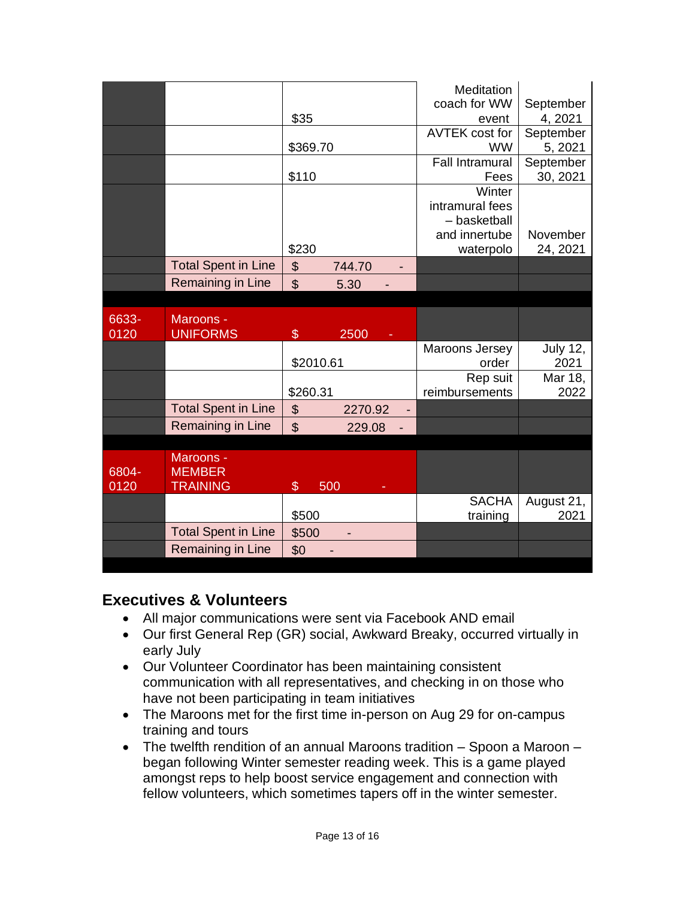|                            |          |        | <b>Meditation</b>      |           |
|----------------------------|----------|--------|------------------------|-----------|
|                            |          |        | coach for WW           | September |
|                            | \$35     |        | event                  | 4, 2021   |
|                            |          |        | AVTEK cost for         | September |
|                            | \$369.70 |        | <b>WW</b>              | 5, 2021   |
|                            |          |        | <b>Fall Intramural</b> | September |
|                            | \$110    |        | Fees                   | 30, 2021  |
|                            |          |        | Winter                 |           |
|                            |          |        | intramural fees        |           |
|                            |          |        | - basketball           |           |
|                            |          |        | and innertube          | November  |
|                            | \$230    |        | waterpolo              | 24, 2021  |
| <b>Total Spent in Line</b> | \$       | 744.70 |                        |           |
| Remaining in Line          | \$       | 5.30   |                        |           |

| 6633-<br>0120 | Maroons -<br><b>UNIFORMS</b> | \$            | 2500<br>٠ |                |                 |
|---------------|------------------------------|---------------|-----------|----------------|-----------------|
|               |                              |               |           | Maroons Jersey | <b>July 12,</b> |
|               |                              | \$2010.61     |           | order          | 2021            |
|               |                              |               |           | Rep suit       | Mar 18,         |
|               |                              | \$260.31      |           | reimbursements | 2022            |
|               | <b>Total Spent in Line</b>   | \$            | 2270.92   |                |                 |
|               | Remaining in Line            | S             | 229.08    |                |                 |
|               |                              |               |           |                |                 |
| 6804-<br>---- | Maroons -<br><b>MEMBER</b>   | $\sim$<br>--- |           |                |                 |

| ◡◡╌  | ———————                    |            |              |            |
|------|----------------------------|------------|--------------|------------|
| 0120 | <b>TRAINING</b>            | 500<br>-   |              |            |
|      |                            |            | <b>SACHA</b> | August 21, |
|      |                            | \$500      | training     | 2021       |
|      | <b>Total Spent in Line</b> | \$500<br>- |              |            |
|      | <b>Remaining in Line</b>   | \$0<br>-   |              |            |
|      |                            |            |              |            |

# **Executives & Volunteers**

- All major communications were sent via Facebook AND email
- Our first General Rep (GR) social, Awkward Breaky, occurred virtually in early July
- Our Volunteer Coordinator has been maintaining consistent communication with all representatives, and checking in on those who have not been participating in team initiatives
- The Maroons met for the first time in-person on Aug 29 for on-campus training and tours
- The twelfth rendition of an annual Maroons tradition Spoon a Maroon began following Winter semester reading week. This is a game played amongst reps to help boost service engagement and connection with fellow volunteers, which sometimes tapers off in the winter semester.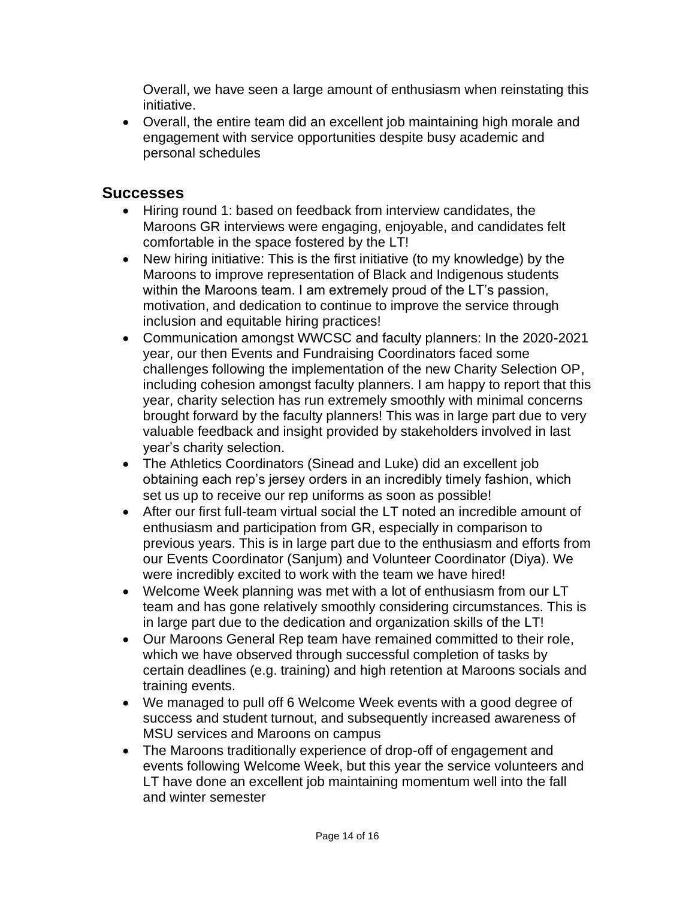Overall, we have seen a large amount of enthusiasm when reinstating this initiative.

• Overall, the entire team did an excellent job maintaining high morale and engagement with service opportunities despite busy academic and personal schedules

# **Successes**

- Hiring round 1: based on feedback from interview candidates, the Maroons GR interviews were engaging, enjoyable, and candidates felt comfortable in the space fostered by the LT!
- New hiring initiative: This is the first initiative (to my knowledge) by the Maroons to improve representation of Black and Indigenous students within the Maroons team. I am extremely proud of the LT's passion, motivation, and dedication to continue to improve the service through inclusion and equitable hiring practices!
- Communication amongst WWCSC and faculty planners: In the 2020-2021 year, our then Events and Fundraising Coordinators faced some challenges following the implementation of the new Charity Selection OP, including cohesion amongst faculty planners. I am happy to report that this year, charity selection has run extremely smoothly with minimal concerns brought forward by the faculty planners! This was in large part due to very valuable feedback and insight provided by stakeholders involved in last year's charity selection.
- The Athletics Coordinators (Sinead and Luke) did an excellent job obtaining each rep's jersey orders in an incredibly timely fashion, which set us up to receive our rep uniforms as soon as possible!
- After our first full-team virtual social the LT noted an incredible amount of enthusiasm and participation from GR, especially in comparison to previous years. This is in large part due to the enthusiasm and efforts from our Events Coordinator (Sanjum) and Volunteer Coordinator (Diya). We were incredibly excited to work with the team we have hired!
- Welcome Week planning was met with a lot of enthusiasm from our LT team and has gone relatively smoothly considering circumstances. This is in large part due to the dedication and organization skills of the LT!
- Our Maroons General Rep team have remained committed to their role, which we have observed through successful completion of tasks by certain deadlines (e.g. training) and high retention at Maroons socials and training events.
- We managed to pull off 6 Welcome Week events with a good degree of success and student turnout, and subsequently increased awareness of MSU services and Maroons on campus
- The Maroons traditionally experience of drop-off of engagement and events following Welcome Week, but this year the service volunteers and LT have done an excellent job maintaining momentum well into the fall and winter semester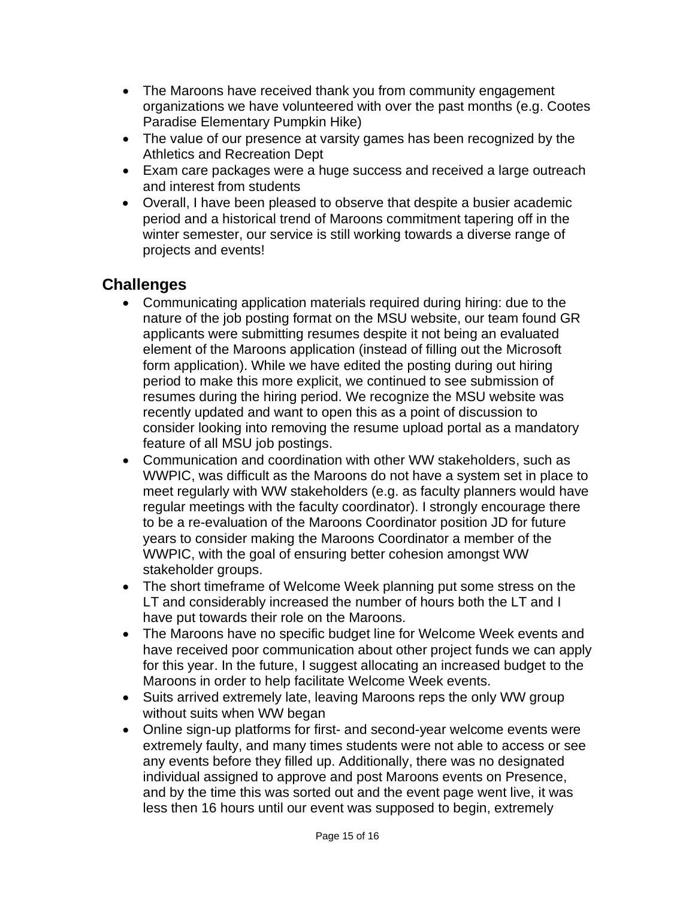- The Maroons have received thank you from community engagement organizations we have volunteered with over the past months (e.g. Cootes Paradise Elementary Pumpkin Hike)
- The value of our presence at varsity games has been recognized by the Athletics and Recreation Dept
- Exam care packages were a huge success and received a large outreach and interest from students
- Overall, I have been pleased to observe that despite a busier academic period and a historical trend of Maroons commitment tapering off in the winter semester, our service is still working towards a diverse range of projects and events!

# **Challenges**

- Communicating application materials required during hiring: due to the nature of the job posting format on the MSU website, our team found GR applicants were submitting resumes despite it not being an evaluated element of the Maroons application (instead of filling out the Microsoft form application). While we have edited the posting during out hiring period to make this more explicit, we continued to see submission of resumes during the hiring period. We recognize the MSU website was recently updated and want to open this as a point of discussion to consider looking into removing the resume upload portal as a mandatory feature of all MSU job postings.
- Communication and coordination with other WW stakeholders, such as WWPIC, was difficult as the Maroons do not have a system set in place to meet regularly with WW stakeholders (e.g. as faculty planners would have regular meetings with the faculty coordinator). I strongly encourage there to be a re-evaluation of the Maroons Coordinator position JD for future years to consider making the Maroons Coordinator a member of the WWPIC, with the goal of ensuring better cohesion amongst WW stakeholder groups.
- The short timeframe of Welcome Week planning put some stress on the LT and considerably increased the number of hours both the LT and I have put towards their role on the Maroons.
- The Maroons have no specific budget line for Welcome Week events and have received poor communication about other project funds we can apply for this year. In the future, I suggest allocating an increased budget to the Maroons in order to help facilitate Welcome Week events.
- Suits arrived extremely late, leaving Maroons reps the only WW group without suits when WW began
- Online sign-up platforms for first- and second-year welcome events were extremely faulty, and many times students were not able to access or see any events before they filled up. Additionally, there was no designated individual assigned to approve and post Maroons events on Presence, and by the time this was sorted out and the event page went live, it was less then 16 hours until our event was supposed to begin, extremely